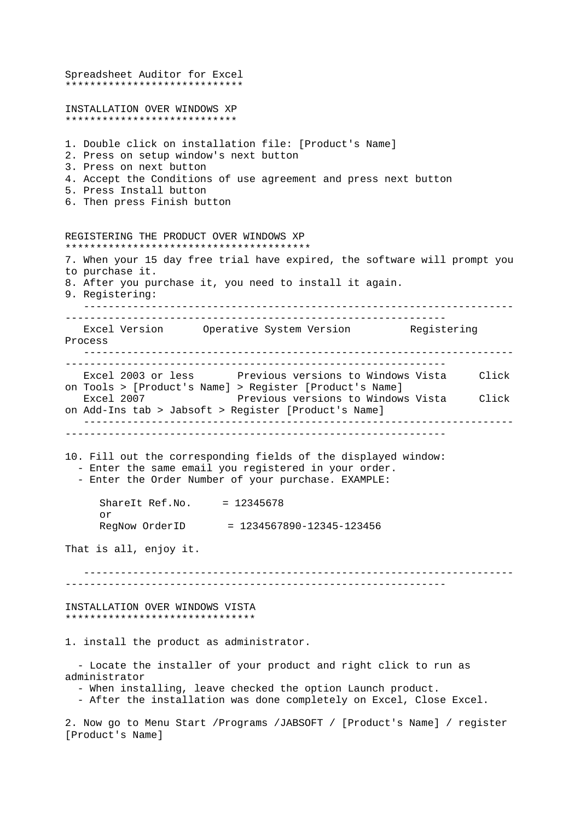Spreadsheet Auditor for Excel \*\*\*\*\*\*\*\*\*\*\*\*\*\*\*\*\*\*\*\*\*\*\*\*\*\*\*\*\* INSTALLATION OVER WINDOWS XP \*\*\*\*\*\*\*\*\*\*\*\*\*\*\*\*\*\*\*\*\*\*\*\*\*\*\*\* 1. Double click on installation file: [Product's Name] 2. Press on setup window's next button 3. Press on next button 4. Accept the Conditions of use agreement and press next button 5. Press Install button 6. Then press Finish button REGISTERING THE PRODUCT OVER WINDOWS XP \*\*\*\*\*\*\*\*\*\*\*\*\*\*\*\*\*\*\*\*\*\*\*\*\*\*\*\*\*\*\*\*\*\*\*\*\*\*\*\* 7. When your 15 day free trial have expired, the software will prompt you to purchase it. 8. After you purchase it, you need to install it again. 9. Registering: ---------------------------------------------------------------------- -------------------------------------------------------------- Excel Version Operative System Version Registering Process ---------------------------------------------------------------------- -------------------------------------------------------------- Excel 2003 or less Previous versions to Windows Vista Click on Tools > [Product's Name] > Register [Product's Name] Excel 2007 **Previous versions to Windows Vista** Click on Add-Ins tab > Jabsoft > Register [Product's Name] ---------------------------------------------------------------------- -------------------------------------------------------------- 10. Fill out the corresponding fields of the displayed window: - Enter the same email you registered in your order. - Enter the Order Number of your purchase. EXAMPLE: ShareIt Ref.No. = 12345678 or RegNow OrderID = 1234567890-12345-123456 That is all, enjoy it. ---------------------------------------------------------------------- -------------------------------------------------------------- INSTALLATION OVER WINDOWS VISTA \*\*\*\*\*\*\*\*\*\*\*\*\*\*\*\*\*\*\*\*\*\*\*\*\*\*\*\*\*\*\* 1. install the product as administrator. - Locate the installer of your product and right click to run as administrator - When installing, leave checked the option Launch product. - After the installation was done completely on Excel, Close Excel. 2. Now go to Menu Start /Programs /JABSOFT / [Product's Name] / register [Product's Name]